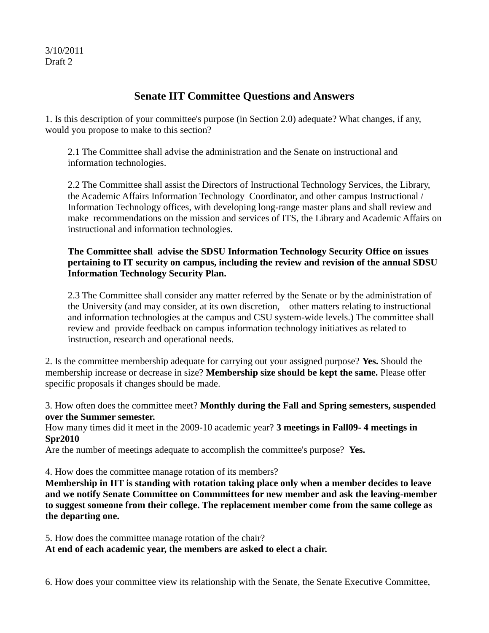3/10/2011 Draft 2

## **Senate IIT Committee Questions and Answers**

1. Is this description of your committee's purpose (in Section 2.0) adequate? What changes, if any, would you propose to make to this section?

2.1 The Committee shall advise the administration and the Senate on instructional and information technologies.

2.2 The Committee shall assist the Directors of Instructional Technology Services, the Library, the Academic Affairs Information Technology Coordinator, and other campus Instructional / Information Technology offices, with developing long-range master plans and shall review and make recommendations on the mission and services of ITS, the Library and Academic Affairs on instructional and information technologies.

## **The Committee shall advise the SDSU Information Technology Security Office on issues pertaining to IT security on campus, including the review and revision of the annual SDSU Information Technology Security Plan.**

2.3 The Committee shall consider any matter referred by the Senate or by the administration of the University (and may consider, at its own discretion, other matters relating to instructional and information technologies at the campus and CSU system-wide levels.) The committee shall review and provide feedback on campus information technology initiatives as related to instruction, research and operational needs.

2. Is the committee membership adequate for carrying out your assigned purpose? **Yes.** Should the membership increase or decrease in size? **Membership size should be kept the same.** Please offer specific proposals if changes should be made.

3. How often does the committee meet? **Monthly during the Fall and Spring semesters, suspended over the Summer semester.** 

How many times did it meet in the 2009-10 academic year? **3 meetings in Fall09- 4 meetings in Spr2010**

Are the number of meetings adequate to accomplish the committee's purpose? **Yes.**

4. How does the committee manage rotation of its members?

**Membership in IIT is standing with rotation taking place only when a member decides to leave and we notify Senate Committee on Commmittees for new member and ask the leaving-member to suggest someone from their college. The replacement member come from the same college as the departing one.**

5. How does the committee manage rotation of the chair?

**At end of each academic year, the members are asked to elect a chair.**

6. How does your committee view its relationship with the Senate, the Senate Executive Committee,